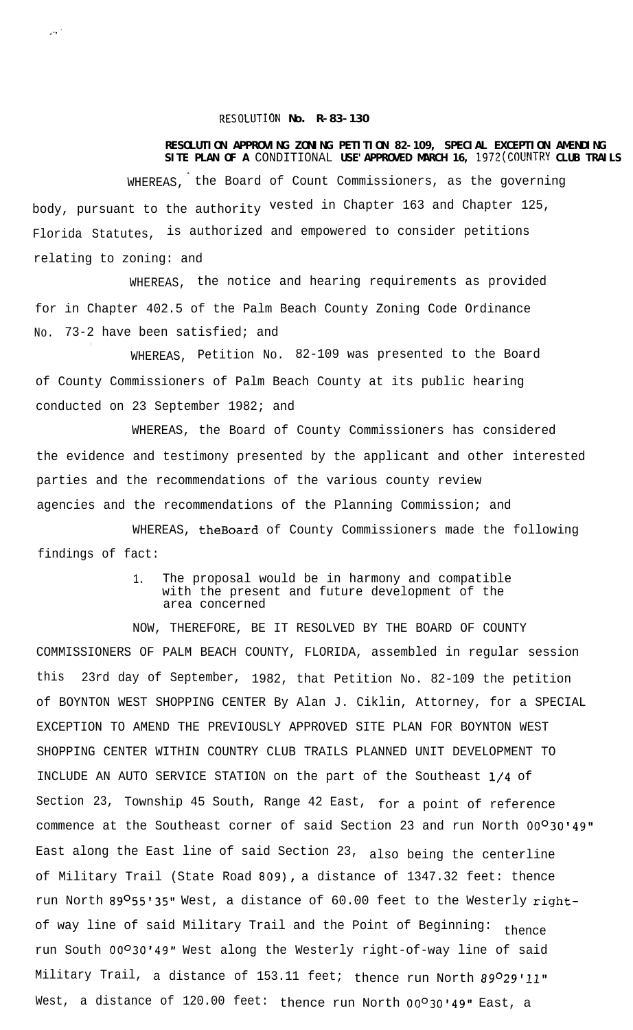## **RESOLUTION No. R-83-130**

الأنبار

## **RESOLUTION APPROVING ZONING PETITION 82-109, SPECIAL EXCEPTION AMENDING SITE PLAN OF A** CONDITIONAL **USE'APPROVED MARCH 16, 1972(COUNTRY CLUB TRAILS**

. WHEREAS, the Board of Count Commissioners, as the governing body, pursuant to the authority vested in Chapter 163 and Chapter 125, Florida Statutes, is authorized and empowered to consider petitions relating to zoning: and

WHEREAS, the notice and hearing requirements as provided for in Chapter 402.5 of the Palm Beach County Zoning Code Ordinance No. 73-2 have been satisfied; and

WHEREAS, Petition No. 82-109 was presented to the Board of County Commissioners of Palm Beach County at its public hearing conducted on 23 September 1982; and

WHEREAS, the Board of County Commissioners has considered the evidence and testimony presented by the applicant and other interested parties and the recommendations of the various county review agencies and the recommendations of the Planning Commission; and

WHEREAS, theBoard of County Commissioners made the following findings of fact:

## 1. The proposal would be in harmony and compatible with the present and future development of the area concerned

NOW, THEREFORE, BE IT RESOLVED BY THE BOARD OF COUNTY COMMISSIONERS OF PALM BEACH COUNTY, FLORIDA, assembled in regular session this 23rd day of September, 1982, that Petition No. 82-109 the petition of BOYNTON WEST SHOPPING CENTER By Alan J. Ciklin, Attorney, for a SPECIAL EXCEPTION TO AMEND THE PREVIOUSLY APPROVED SITE PLAN FOR BOYNTON WEST SHOPPING CENTER WITHIN COUNTRY CLUB TRAILS PLANNED UNIT DEVELOPMENT TO INCLUDE AN AUTO SERVICE STATION on the part of the Southeast l/4 of Section 23, Township 45 South, Range 42 East, for a point of reference commence at the Southeast corner of said Section 23 and run North 00<sup>0</sup>30'49" East along the East line of said Section 23, also being the centerline of Military Trail (State Road 809), a distance of 1347.32 feet: thence run North 89º55'35" West, a distance of 60.00 feet to the Westerly rightof way line of said Military Trail and the Point of Beginning: thence run South 00°30'49" West along the Westerly right-of-way line of said Military Trail, a distance of 153.11 feet; thence run North 89029'11" West, a distance of 120.00 feet: thence run North 00°30'49" East, a